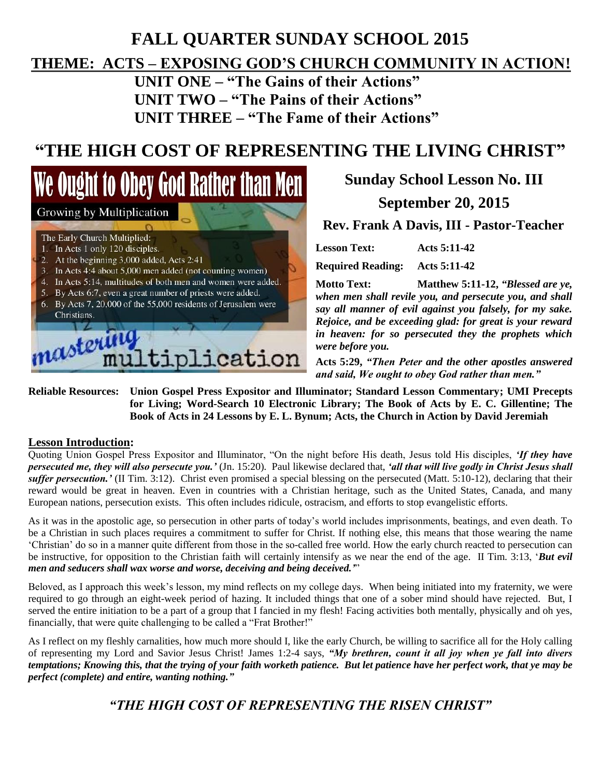## **FALL QUARTER SUNDAY SCHOOL 2015 THEME: ACTS – EXPOSING GOD'S CHURCH COMMUNITY IN ACTION!**

**UNIT ONE – "The Gains of their Actions" UNIT TWO – "The Pains of their Actions" UNIT THREE – "The Fame of their Actions"**

# **"THE HIGH COST OF REPRESENTING THE LIVING CHRIST"**

We Ought to Obey God Rather than Men Growing by Multiplication The Early Church Multiplied: 1. In Acts 1 only 120 disciples. 2. At the beginning 3,000 added, Acts 2:41 3. In Acts 4:4 about 5,000 men added (not counting women) 4. In Acts 5:14, multitudes of both men and women were added. 5. By Acts 6:7, even a great number of priests were added. 6. By Acts 7, 20,000 of the 55,000 residents of Jerusalem were Christians. nastering plication

## **Sunday School Lesson No. III September 20, 2015**

**Rev. Frank A Davis, III - Pastor-Teacher**

| <b>Lesson Text:</b> |  | Acts 5:11-42 |
|---------------------|--|--------------|
|                     |  |              |

**Required Reading: Acts 5:11-42**

**Motto Text: Matthew 5:11-12,** *"Blessed are ye, when men shall revile you, and persecute you, and shall say all manner of evil against you falsely, for my sake. Rejoice, and be exceeding glad: for great is your reward in heaven: for so persecuted they the prophets which were before you.*

**Acts 5:29,** *"Then Peter and the other apostles answered and said, We ought to obey God rather than men."*

**Reliable Resources: Union Gospel Press Expositor and Illuminator; Standard Lesson Commentary; UMI Precepts for Living; Word-Search 10 Electronic Library; The Book of Acts by E. C. Gillentine; The Book of Acts in 24 Lessons by E. L. Bynum; Acts, the Church in Action by David Jeremiah**

#### **Lesson Introduction:**

Quoting Union Gospel Press Expositor and Illuminator, "On the night before His death, Jesus told His disciples, *'If they have persecuted me, they will also persecute you.'* (Jn. 15:20). Paul likewise declared that, *'all that will live godly in Christ Jesus shall suffer persecution.'* (II Tim. 3:12). Christ even promised a special blessing on the persecuted (Matt. 5:10-12), declaring that their reward would be great in heaven. Even in countries with a Christian heritage, such as the United States, Canada, and many European nations, persecution exists. This often includes ridicule, ostracism, and efforts to stop evangelistic efforts.

As it was in the apostolic age, so persecution in other parts of today's world includes imprisonments, beatings, and even death. To be a Christian in such places requires a commitment to suffer for Christ. If nothing else, this means that those wearing the name 'Christian' do so in a manner quite different from those in the so-called free world. How the early church reacted to persecution can be instructive, for opposition to the Christian faith will certainly intensify as we near the end of the age. II Tim. 3:13, '*But evil men and seducers shall wax worse and worse, deceiving and being deceived.'*"

Beloved, as I approach this week's lesson, my mind reflects on my college days. When being initiated into my fraternity, we were required to go through an eight-week period of hazing. It included things that one of a sober mind should have rejected. But, I served the entire initiation to be a part of a group that I fancied in my flesh! Facing activities both mentally, physically and oh yes, financially, that were quite challenging to be called a "Frat Brother!"

As I reflect on my fleshly carnalities, how much more should I, like the early Church, be willing to sacrifice all for the Holy calling of representing my Lord and Savior Jesus Christ! James 1:2-4 says, *"My brethren, count it all joy when ye fall into divers temptations; Knowing this, that the trying of your faith worketh patience. But let patience have her perfect work, that ye may be perfect (complete) and entire, wanting nothing."*

### *"THE HIGH COST OF REPRESENTING THE RISEN CHRIST"*